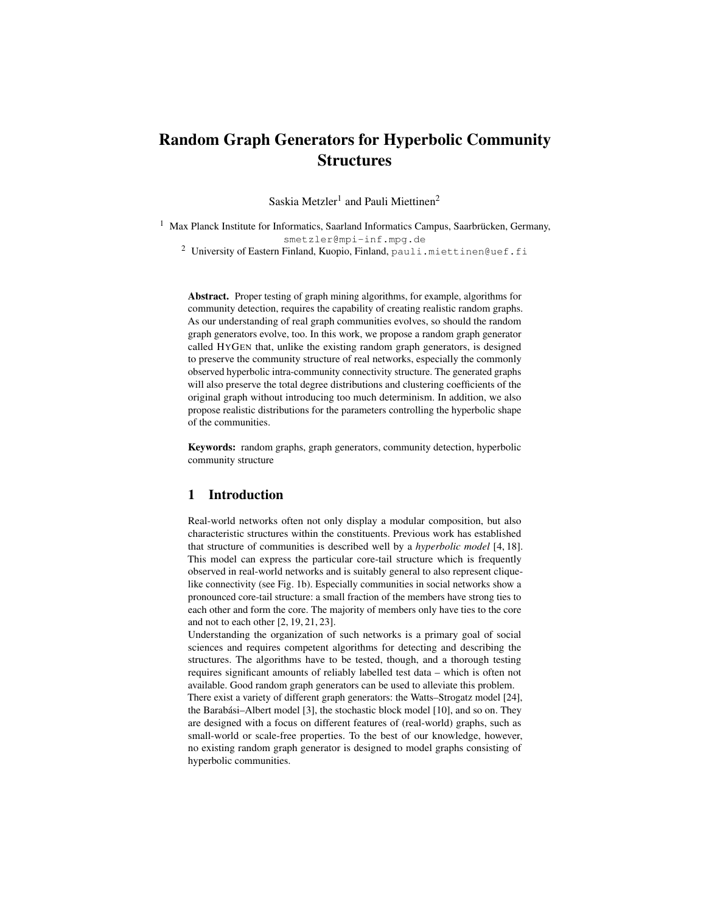# Random Graph Generators for Hyperbolic Community **Structures**

Saskia Metzler<sup>1</sup> and Pauli Miettinen<sup>2</sup>

<sup>1</sup> Max Planck Institute for Informatics, Saarland Informatics Campus, Saarbrücken, Germany, smetzler@mpi-inf.mpg.de

<sup>2</sup> University of Eastern Finland, Kuopio, Finland, pauli.miettinen@uef.fi

Abstract. Proper testing of graph mining algorithms, for example, algorithms for community detection, requires the capability of creating realistic random graphs. As our understanding of real graph communities evolves, so should the random graph generators evolve, too. In this work, we propose a random graph generator called HYGEN that, unlike the existing random graph generators, is designed to preserve the community structure of real networks, especially the commonly observed hyperbolic intra-community connectivity structure. The generated graphs will also preserve the total degree distributions and clustering coefficients of the original graph without introducing too much determinism. In addition, we also propose realistic distributions for the parameters controlling the hyperbolic shape of the communities.

Keywords: random graphs, graph generators, community detection, hyperbolic community structure

# 1 Introduction

Real-world networks often not only display a modular composition, but also characteristic structures within the constituents. Previous work has established that structure of communities is described well by a *hyperbolic model* [4, 18]. This model can express the particular core-tail structure which is frequently observed in real-world networks and is suitably general to also represent cliquelike connectivity (see Fig. 1b). Especially communities in social networks show a pronounced core-tail structure: a small fraction of the members have strong ties to each other and form the core. The majority of members only have ties to the core and not to each other [2, 19, 21, 23].

Understanding the organization of such networks is a primary goal of social sciences and requires competent algorithms for detecting and describing the structures. The algorithms have to be tested, though, and a thorough testing requires significant amounts of reliably labelled test data – which is often not available. Good random graph generators can be used to alleviate this problem.

There exist a variety of different graph generators: the Watts–Strogatz model [24], the Barabási-Albert model [3], the stochastic block model [10], and so on. They are designed with a focus on different features of (real-world) graphs, such as small-world or scale-free properties. To the best of our knowledge, however, no existing random graph generator is designed to model graphs consisting of hyperbolic communities.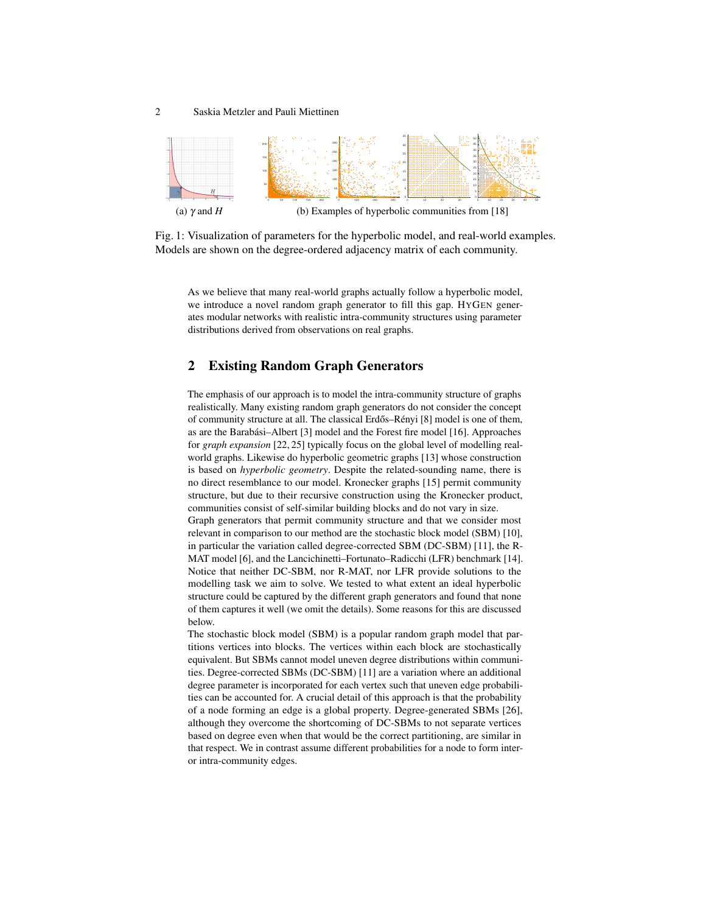#### 2 Saskia Metzler and Pauli Miettinen



Fig. 1: Visualization of parameters for the hyperbolic model, and real-world examples. Models are shown on the degree-ordered adjacency matrix of each community.

As we believe that many real-world graphs actually follow a hyperbolic model, we introduce a novel random graph generator to fill this gap. HYGEN generates modular networks with realistic intra-community structures using parameter distributions derived from observations on real graphs.

## 2 Existing Random Graph Generators

The emphasis of our approach is to model the intra-community structure of graphs realistically. Many existing random graph generators do not consider the concept of community structure at all. The classical Erdős–Rényi [8] model is one of them, as are the Barabási-Albert [3] model and the Forest fire model [16]. Approaches for *graph expansion* [22, 25] typically focus on the global level of modelling realworld graphs. Likewise do hyperbolic geometric graphs [13] whose construction is based on *hyperbolic geometry*. Despite the related-sounding name, there is no direct resemblance to our model. Kronecker graphs [15] permit community structure, but due to their recursive construction using the Kronecker product, communities consist of self-similar building blocks and do not vary in size. Graph generators that permit community structure and that we consider most

relevant in comparison to our method are the stochastic block model (SBM) [10], in particular the variation called degree-corrected SBM (DC-SBM) [11], the R-MAT model [6], and the Lancichinetti–Fortunato–Radicchi (LFR) benchmark [14]. Notice that neither DC-SBM, nor R-MAT, nor LFR provide solutions to the modelling task we aim to solve. We tested to what extent an ideal hyperbolic structure could be captured by the different graph generators and found that none of them captures it well (we omit the details). Some reasons for this are discussed below.

The stochastic block model (SBM) is a popular random graph model that partitions vertices into blocks. The vertices within each block are stochastically equivalent. But SBMs cannot model uneven degree distributions within communities. Degree-corrected SBMs (DC-SBM) [11] are a variation where an additional degree parameter is incorporated for each vertex such that uneven edge probabilities can be accounted for. A crucial detail of this approach is that the probability of a node forming an edge is a global property. Degree-generated SBMs [26], although they overcome the shortcoming of DC-SBMs to not separate vertices based on degree even when that would be the correct partitioning, are similar in that respect. We in contrast assume different probabilities for a node to form interor intra-community edges.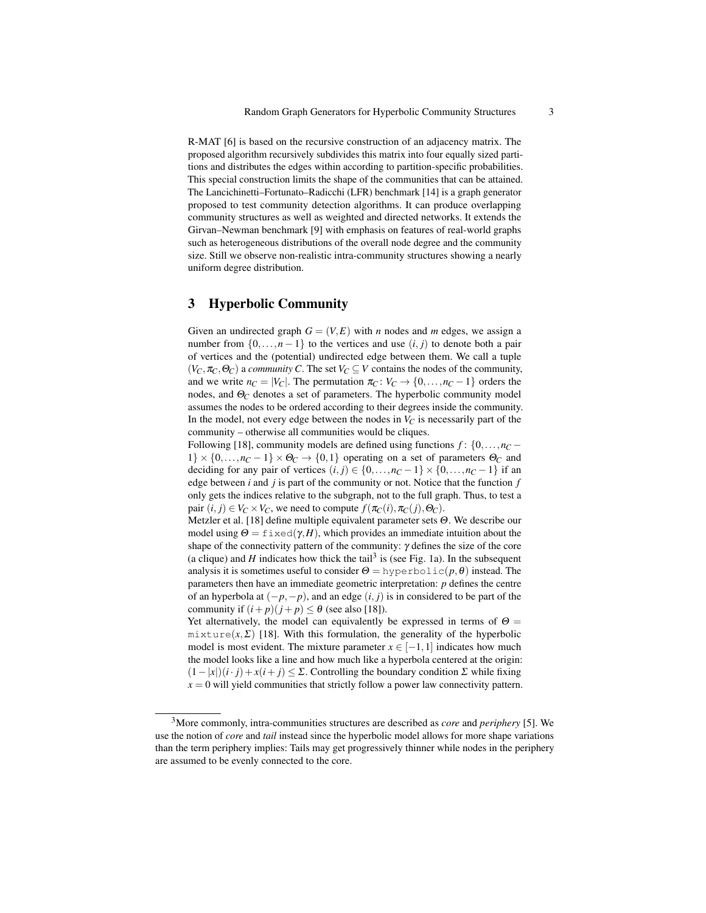R-MAT [6] is based on the recursive construction of an adjacency matrix. The proposed algorithm recursively subdivides this matrix into four equally sized partitions and distributes the edges within according to partition-specific probabilities. This special construction limits the shape of the communities that can be attained. The Lancichinetti–Fortunato–Radicchi (LFR) benchmark [14] is a graph generator proposed to test community detection algorithms. It can produce overlapping community structures as well as weighted and directed networks. It extends the Girvan–Newman benchmark [9] with emphasis on features of real-world graphs such as heterogeneous distributions of the overall node degree and the community size. Still we observe non-realistic intra-community structures showing a nearly uniform degree distribution.

## 3 Hyperbolic Community

Given an undirected graph  $G = (V, E)$  with *n* nodes and *m* edges, we assign a number from  $\{0, \ldots, n-1\}$  to the vertices and use  $(i, j)$  to denote both a pair of vertices and the (potential) undirected edge between them. We call a tuple  $(V_C, \pi_C, \Theta_C)$  a *community C*. The set  $V_C \subseteq V$  contains the nodes of the community, and we write  $n_C = |V_C|$ . The permutation  $\pi_C : V_C \to \{0, \ldots, n_C - 1\}$  orders the nodes, and Θ*<sup>C</sup>* denotes a set of parameters. The hyperbolic community model assumes the nodes to be ordered according to their degrees inside the community. In the model, not every edge between the nodes in  $V_C$  is necessarily part of the community – otherwise all communities would be cliques.

Following [18], community models are defined using functions  $f: \{0, \ldots, n_C - \}$  $1\} \times \{0,\ldots,n_C-1\} \times \Theta_C \rightarrow \{0,1\}$  operating on a set of parameters  $\Theta_C$  and deciding for any pair of vertices  $(i, j) \in \{0, \ldots, n_C - 1\} \times \{0, \ldots, n_C - 1\}$  if an edge between *i* and *j* is part of the community or not. Notice that the function *f* only gets the indices relative to the subgraph, not to the full graph. Thus, to test a pair  $(i, j) \in V_C \times V_C$ , we need to compute  $f(\pi_C(i), \pi_C(j), \Theta_C)$ .

Metzler et al. [18] define multiple equivalent parameter sets Θ. We describe our model using  $\Theta = \text{fixed}(\gamma, H)$ , which provides an immediate intuition about the shape of the connectivity pattern of the community:  $\gamma$  defines the size of the core (a clique) and  $H$  indicates how thick the tail<sup>3</sup> is (see Fig. 1a). In the subsequent analysis it is sometimes useful to consider  $\Theta =$  hyperbolic( $p, \theta$ ) instead. The parameters then have an immediate geometric interpretation: *p* defines the centre of an hyperbola at (−*p*,−*p*), and an edge (*i*, *j*) is in considered to be part of the community if  $(i+p)(j+p) \leq \theta$  (see also [18]).

Yet alternatively, the model can equivalently be expressed in terms of  $\Theta =$ mixture( $x, \Sigma$ ) [18]. With this formulation, the generality of the hyperbolic model is most evident. The mixture parameter  $x \in [-1,1]$  indicates how much the model looks like a line and how much like a hyperbola centered at the origin:  $(1−|x|)(i·j) + x(i + j) ≤ Σ$ . Controlling the boundary condition Σ while fixing  $x = 0$  will yield communities that strictly follow a power law connectivity pattern.

<sup>3</sup>More commonly, intra-communities structures are described as *core* and *periphery* [5]. We use the notion of *core* and *tail* instead since the hyperbolic model allows for more shape variations than the term periphery implies: Tails may get progressively thinner while nodes in the periphery are assumed to be evenly connected to the core.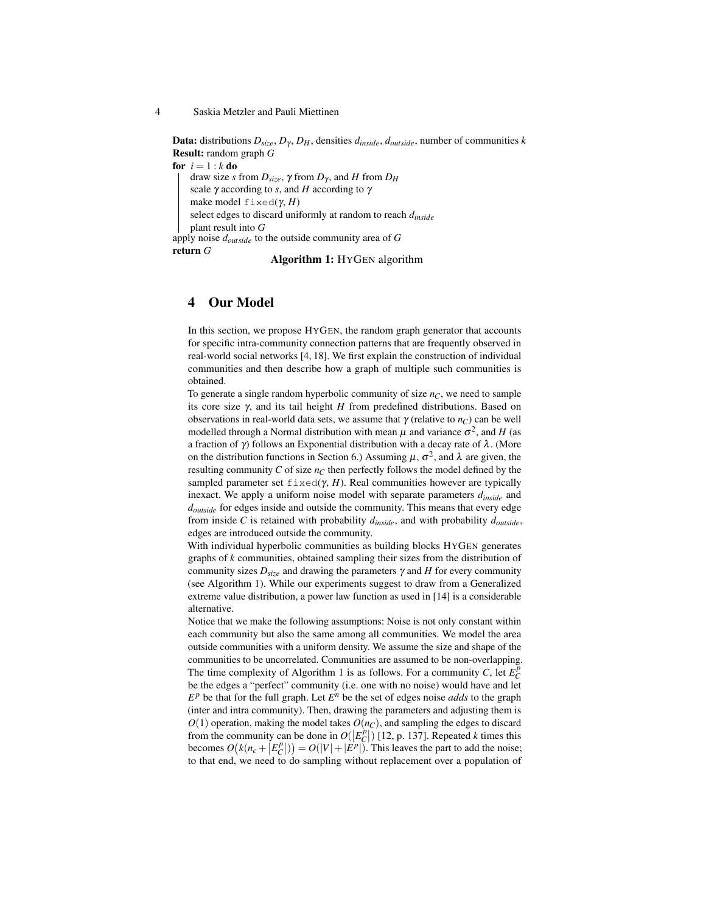#### 4 Saskia Metzler and Pauli Miettinen

**Data:** distributions  $D_{size}$ ,  $D_{\gamma}$ ,  $D_H$ , densities  $d_{inside}$ ,  $d_{outside}$ , number of communities  $k$ Result: random graph *G*

for  $i = 1 : k$  do draw size *s* from  $D_{size}$ ,  $\gamma$  from  $D_{\gamma}$ , and *H* from  $D_H$ scale γ according to *s*, and *H* according to γ make model fixed(γ, *H*) select edges to discard uniformly at random to reach *dinside* plant result into *G* apply noise *doutside* to the outside community area of *G*

return *G*

#### Algorithm 1: HYGEN algorithm

#### 4 Our Model

In this section, we propose HYGEN, the random graph generator that accounts for specific intra-community connection patterns that are frequently observed in real-world social networks [4, 18]. We first explain the construction of individual communities and then describe how a graph of multiple such communities is obtained.

To generate a single random hyperbolic community of size  $n<sub>C</sub>$ , we need to sample its core size γ, and its tail height *H* from predefined distributions. Based on observations in real-world data sets, we assume that  $\gamma$  (relative to  $n_C$ ) can be well modelled through a Normal distribution with mean  $\mu$  and variance  $\sigma^2$ , and H (as a fraction of γ) follows an Exponential distribution with a decay rate of λ. (More on the distribution functions in Section 6.) Assuming  $\mu$ ,  $\sigma^2$ , and  $\lambda$  are given, the resulting community  $C$  of size  $n<sub>C</sub>$  then perfectly follows the model defined by the sampled parameter set  $f$ ixed( $\gamma$ , *H*). Real communities however are typically inexact. We apply a uniform noise model with separate parameters *dinside* and *doutside* for edges inside and outside the community. This means that every edge from inside *C* is retained with probability *dinside*, and with probability *doutside*, edges are introduced outside the community.

With individual hyperbolic communities as building blocks HYGEN generates graphs of *k* communities, obtained sampling their sizes from the distribution of community sizes  $D_{size}$  and drawing the parameters  $\gamma$  and  $H$  for every community (see Algorithm 1). While our experiments suggest to draw from a Generalized extreme value distribution, a power law function as used in [14] is a considerable alternative.

Notice that we make the following assumptions: Noise is not only constant within each community but also the same among all communities. We model the area outside communities with a uniform density. We assume the size and shape of the communities to be uncorrelated. Communities are assumed to be non-overlapping. The time complexity of Algorithm 1 is as follows. For a community *C*, let  $E_C^P$ be the edges a "perfect" community (i.e. one with no noise) would have and let  $E^p$  be that for the full graph. Let  $E^n$  be the set of edges noise *adds* to the graph (inter and intra community). Then, drawing the parameters and adjusting them is  $O(1)$  operation, making the model takes  $O(n_C)$ , and sampling the edges to discard from the community can be done in  $O(|E_C^p|)$  [12, p. 137]. Repeated *k* times this becomes  $O(k(n_c + |E_C^p|)) = O(|V| + |E^p|)$ . This leaves the part to add the noise; to that end, we need to do sampling without replacement over a population of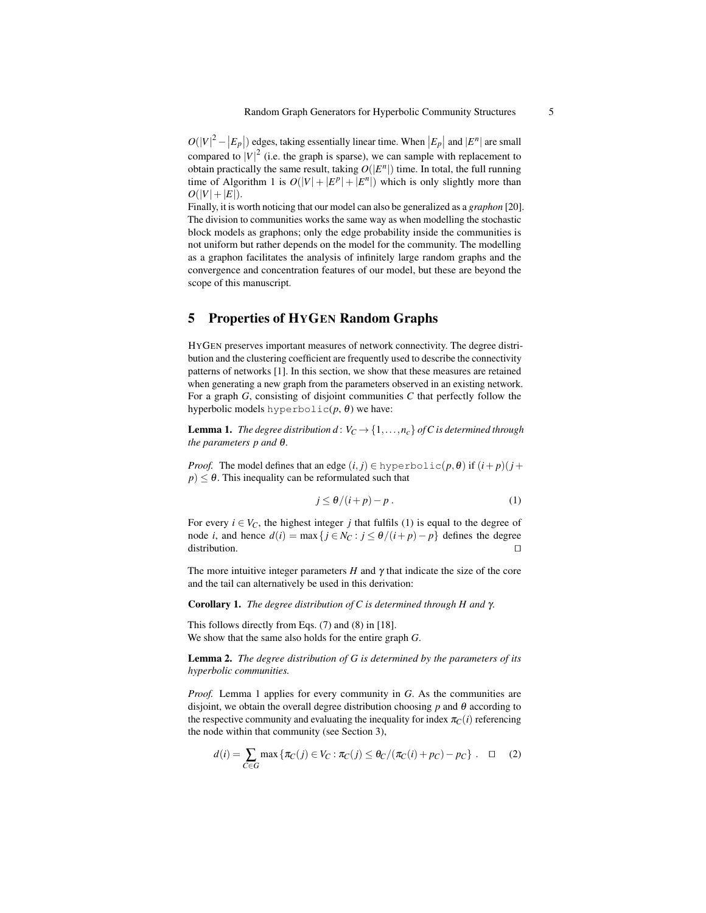$O(|V|^2 - |E_p|)$  edges, taking essentially linear time. When  $|E_p|$  and  $|E^n|$  are small compared to  $|V|^2$  (i.e. the graph is sparse), we can sample with replacement to obtain practically the same result, taking  $O(|E^n|)$  time. In total, the full running time of Algorithm 1 is  $O(|V| + |E^p| + |E^n|)$  which is only slightly more than  $O(|V|+|E|).$ 

Finally, it is worth noticing that our model can also be generalized as a *graphon* [20]. The division to communities works the same way as when modelling the stochastic block models as graphons; only the edge probability inside the communities is not uniform but rather depends on the model for the community. The modelling as a graphon facilitates the analysis of infinitely large random graphs and the convergence and concentration features of our model, but these are beyond the scope of this manuscript.

#### 5 Properties of HYGEN Random Graphs

HYGEN preserves important measures of network connectivity. The degree distribution and the clustering coefficient are frequently used to describe the connectivity patterns of networks [1]. In this section, we show that these measures are retained when generating a new graph from the parameters observed in an existing network. For a graph *G*, consisting of disjoint communities *C* that perfectly follow the hyperbolic models hyperbolic( $p$ ,  $\theta$ ) we have:

**Lemma 1.** *The degree distribution*  $d: V_C \rightarrow \{1, \ldots, n_c\}$  *of C is determined through the parameters p and* θ*.*

*Proof.* The model defines that an edge  $(i, j) \in$  hyperbolic( $p, \theta$ ) if  $(i + p)(j + j)$  $p$   $> \theta$ . This inequality can be reformulated such that

$$
j \le \theta/(i+p) - p \,. \tag{1}
$$

For every  $i \in V_C$ , the highest integer *j* that fulfils (1) is equal to the degree of node *i*, and hence  $d(i) = \max\{j \in N_C : j \leq \theta/(i+p) - p\}$  defines the degree distribution.  $\Box$ 

The more intuitive integer parameters  $H$  and  $\gamma$  that indicate the size of the core and the tail can alternatively be used in this derivation:

Corollary 1. *The degree distribution of C is determined through H and* γ*.*

This follows directly from Eqs. (7) and (8) in [18]. We show that the same also holds for the entire graph *G*.

Lemma 2. *The degree distribution of G is determined by the parameters of its hyperbolic communities.*

*Proof.* Lemma 1 applies for every community in *G*. As the communities are disjoint, we obtain the overall degree distribution choosing  $p$  and  $\theta$  according to the respective community and evaluating the inequality for index  $\pi_C(i)$  referencing the node within that community (see Section 3),

$$
d(i) = \sum_{C \in G} \max \left\{ \pi_C(j) \in V_C : \pi_C(j) \leq \theta_C / (\pi_C(i) + pc) - pc \right\} . \quad \Box \qquad (2)
$$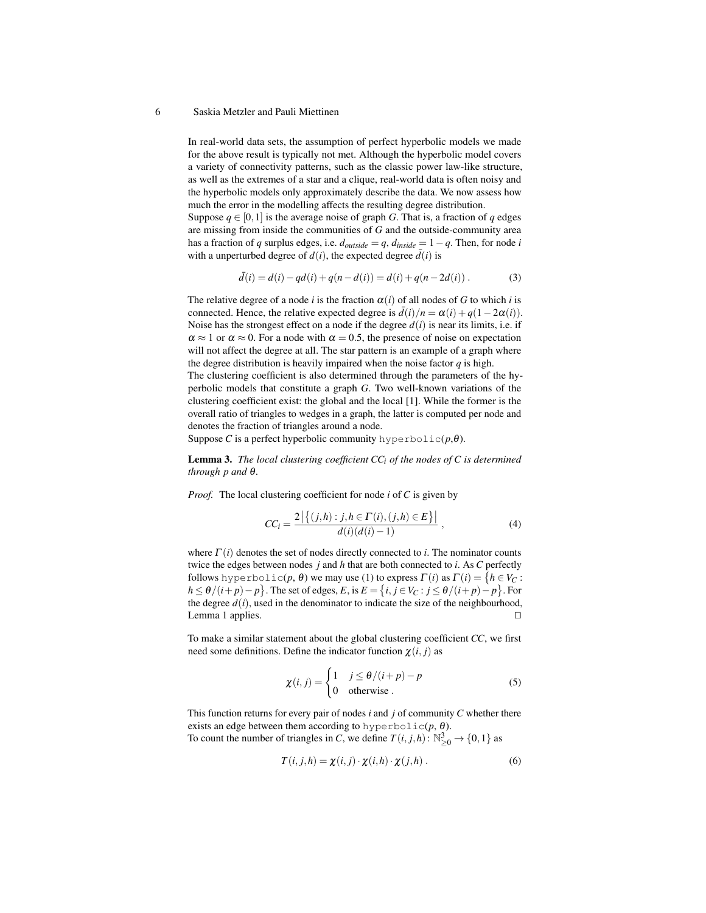#### 6 Saskia Metzler and Pauli Miettinen

In real-world data sets, the assumption of perfect hyperbolic models we made for the above result is typically not met. Although the hyperbolic model covers a variety of connectivity patterns, such as the classic power law-like structure, as well as the extremes of a star and a clique, real-world data is often noisy and the hyperbolic models only approximately describe the data. We now assess how much the error in the modelling affects the resulting degree distribution.

Suppose  $q \in [0,1]$  is the average noise of graph *G*. That is, a fraction of *q* edges are missing from inside the communities of *G* and the outside-community area has a fraction of *q* surplus edges, i.e.  $d_{outside} = q$ ,  $d_{inside} = 1 - q$ . Then, for node *i* with a unperturbed degree of  $d(i)$ , the expected degree  $\bar{d}(i)$  is

$$
\bar{d}(i) = d(i) - qd(i) + q(n - d(i)) = d(i) + q(n - 2d(i)).
$$
\n(3)

The relative degree of a node *i* is the fraction  $\alpha(i)$  of all nodes of G to which *i* is connected. Hence, the relative expected degree is  $d(i)/n = \alpha(i) + q(1-2\alpha(i))$ . Noise has the strongest effect on a node if the degree  $d(i)$  is near its limits, i.e. if  $\alpha \approx 1$  or  $\alpha \approx 0$ . For a node with  $\alpha = 0.5$ , the presence of noise on expectation will not affect the degree at all. The star pattern is an example of a graph where the degree distribution is heavily impaired when the noise factor  $q$  is high.

The clustering coefficient is also determined through the parameters of the hyperbolic models that constitute a graph *G*. Two well-known variations of the clustering coefficient exist: the global and the local [1]. While the former is the overall ratio of triangles to wedges in a graph, the latter is computed per node and denotes the fraction of triangles around a node.

Suppose *C* is a perfect hyperbolic community hyperbolic( $p, \theta$ ).

Lemma 3. *The local clustering coefficient CC<sup>i</sup> of the nodes of C is determined through p and* θ*.*

*Proof.* The local clustering coefficient for node *i* of *C* is given by

$$
CC_i = \frac{2|\{(j,h): j,h \in \Gamma(i),(j,h) \in E\}|}{d(i)(d(i)-1)},
$$
\n(4)

where  $\Gamma(i)$  denotes the set of nodes directly connected to *i*. The nominator counts twice the edges between nodes *j* and *h* that are both connected to *i*. As *C* perfectly follows hyperbolic( $p$ ,  $\theta$ ) we may use (1) to express  $\Gamma(i)$  as  $\Gamma(i) = \big\{h \in V_C$  :  $h \leq \theta/(i+p)-p\}$ . The set of edges, *E*, is  $E = \{i,j \in V_C : j \leq \theta/(i+p)-p\}$ . For the degree  $d(i)$ , used in the denominator to indicate the size of the neighbourhood, Lemma 1 applies.  $\Box$ 

To make a similar statement about the global clustering coefficient *CC*, we first need some definitions. Define the indicator function  $\chi(i, j)$  as

$$
\chi(i,j) = \begin{cases} 1 & j \le \theta/(i+p) - p \\ 0 & \text{otherwise} \end{cases}
$$
 (5)

This function returns for every pair of nodes  $i$  and  $j$  of community  $C$  whether there exists an edge between them according to hyperbolic( $p$ ,  $\theta$ ). To count the number of triangles in *C*, we define  $T(i, j, h)$ :  $\mathbb{N}_{\geq 0}^3 \to \{0, 1\}$  as

$$
T(i, j, h) = \chi(i, j) \cdot \chi(i, h) \cdot \chi(j, h) . \tag{6}
$$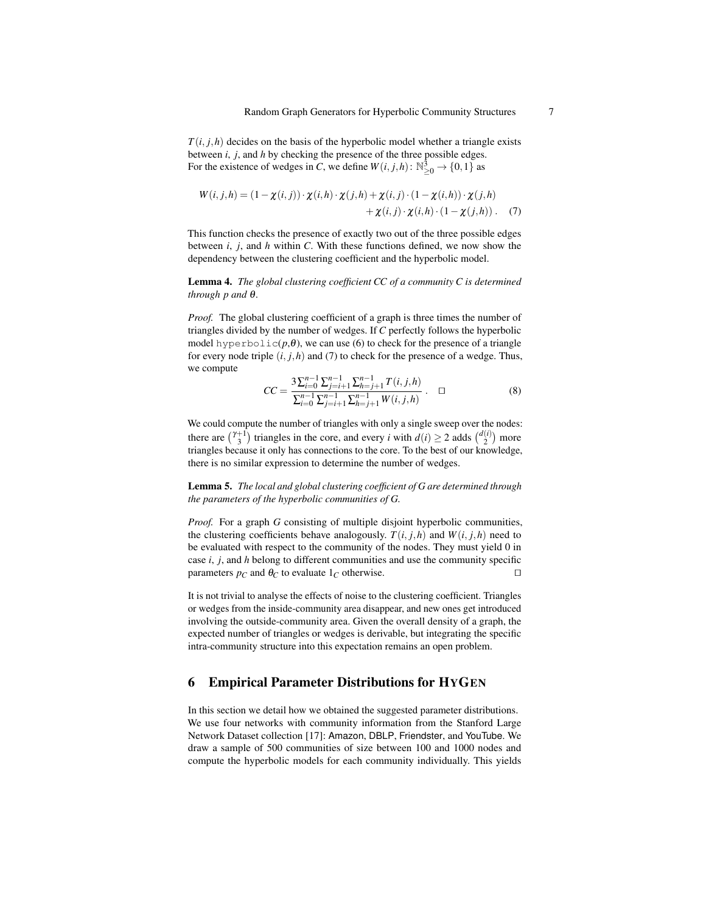$T(i, j, h)$  decides on the basis of the hyperbolic model whether a triangle exists between *i*, *j*, and *h* by checking the presence of the three possible edges. For the existence of wedges in *C*, we define  $W(i, j, h)$ :  $\mathbb{N}_{\geq 0}^3 \to \{0, 1\}$  as

$$
W(i,j,h) = (1 - \chi(i,j)) \cdot \chi(i,h) \cdot \chi(j,h) + \chi(i,j) \cdot (1 - \chi(i,h)) \cdot \chi(j,h)
$$
  
+ 
$$
\chi(i,j) \cdot \chi(i,h) \cdot (1 - \chi(j,h))
$$
 (7)

This function checks the presence of exactly two out of the three possible edges between *i*, *j*, and *h* within *C*. With these functions defined, we now show the dependency between the clustering coefficient and the hyperbolic model.

Lemma 4. *The global clustering coefficient CC of a community C is determined through p and* θ*.*

*Proof.* The global clustering coefficient of a graph is three times the number of triangles divided by the number of wedges. If *C* perfectly follows the hyperbolic model hyperbolic( $p, \theta$ ), we can use (6) to check for the presence of a triangle for every node triple  $(i, j, h)$  and  $(7)$  to check for the presence of a wedge. Thus, we compute

$$
CC = \frac{3\sum_{i=0}^{n-1} \sum_{j=i+1}^{n-1} \sum_{h=j+1}^{n-1} T(i,j,h)}{\sum_{i=0}^{n-1} \sum_{j=i+1}^{n-1} \sum_{h=j+1}^{n-1} W(i,j,h)}.
$$
 (8)

We could compute the number of triangles with only a single sweep over the nodes: there are  $\binom{\gamma+1}{3}$  triangles in the core, and every *i* with  $d(i) \ge 2$  adds  $\binom{d(i)}{2}$  more triangles because it only has connections to the core. To the best of our knowledge, there is no similar expression to determine the number of wedges.

Lemma 5. *The local and global clustering coefficient of G are determined through the parameters of the hyperbolic communities of G.*

*Proof.* For a graph *G* consisting of multiple disjoint hyperbolic communities, the clustering coefficients behave analogously.  $T(i, j, h)$  and  $W(i, j, h)$  need to be evaluated with respect to the community of the nodes. They must yield 0 in case *i*, *j*, and *h* belong to different communities and use the community specific parameters  $p_C$  and  $\theta_C$  to evaluate  $1_C$  otherwise.

It is not trivial to analyse the effects of noise to the clustering coefficient. Triangles or wedges from the inside-community area disappear, and new ones get introduced involving the outside-community area. Given the overall density of a graph, the expected number of triangles or wedges is derivable, but integrating the specific intra-community structure into this expectation remains an open problem.

#### 6 Empirical Parameter Distributions for HYGEN

In this section we detail how we obtained the suggested parameter distributions. We use four networks with community information from the Stanford Large Network Dataset collection [17]: Amazon, DBLP, Friendster, and YouTube. We draw a sample of 500 communities of size between 100 and 1000 nodes and compute the hyperbolic models for each community individually. This yields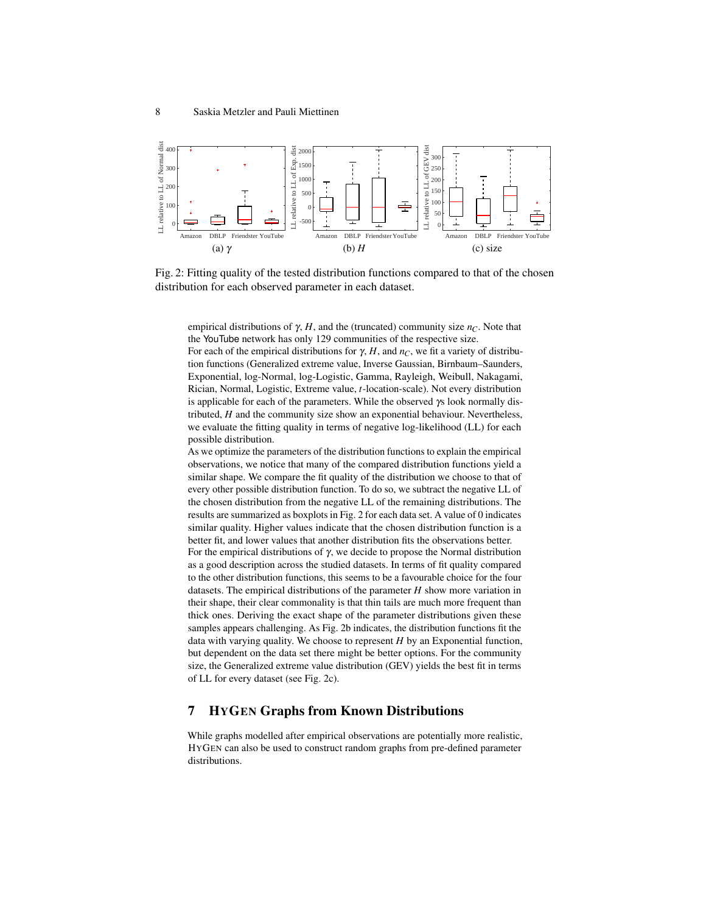

Fig. 2: Fitting quality of the tested distribution functions compared to that of the chosen distribution for each observed parameter in each dataset.

empirical distributions of  $γ$ , *H*, and the (truncated) community size *n<sub>C</sub>*. Note that the YouTube network has only 129 communities of the respective size.

For each of the empirical distributions for γ, *H*, and  $n<sub>C</sub>$ , we fit a variety of distribution functions (Generalized extreme value, Inverse Gaussian, Birnbaum–Saunders, Exponential, log-Normal, log-Logistic, Gamma, Rayleigh, Weibull, Nakagami, Rician, Normal, Logistic, Extreme value, *t*-location-scale). Not every distribution is applicable for each of the parameters. While the observed γs look normally distributed, *H* and the community size show an exponential behaviour. Nevertheless, we evaluate the fitting quality in terms of negative log-likelihood (LL) for each possible distribution.

As we optimize the parameters of the distribution functions to explain the empirical observations, we notice that many of the compared distribution functions yield a similar shape. We compare the fit quality of the distribution we choose to that of every other possible distribution function. To do so, we subtract the negative LL of the chosen distribution from the negative LL of the remaining distributions. The results are summarized as boxplots in Fig. 2 for each data set. A value of 0 indicates similar quality. Higher values indicate that the chosen distribution function is a better fit, and lower values that another distribution fits the observations better. For the empirical distributions of  $\gamma$ , we decide to propose the Normal distribution as a good description across the studied datasets. In terms of fit quality compared to the other distribution functions, this seems to be a favourable choice for the four datasets. The empirical distributions of the parameter *H* show more variation in their shape, their clear commonality is that thin tails are much more frequent than thick ones. Deriving the exact shape of the parameter distributions given these samples appears challenging. As Fig. 2b indicates, the distribution functions fit the data with varying quality. We choose to represent *H* by an Exponential function, but dependent on the data set there might be better options. For the community size, the Generalized extreme value distribution (GEV) yields the best fit in terms of LL for every dataset (see Fig. 2c).

# 7 HYGEN Graphs from Known Distributions

While graphs modelled after empirical observations are potentially more realistic, HYGEN can also be used to construct random graphs from pre-defined parameter distributions.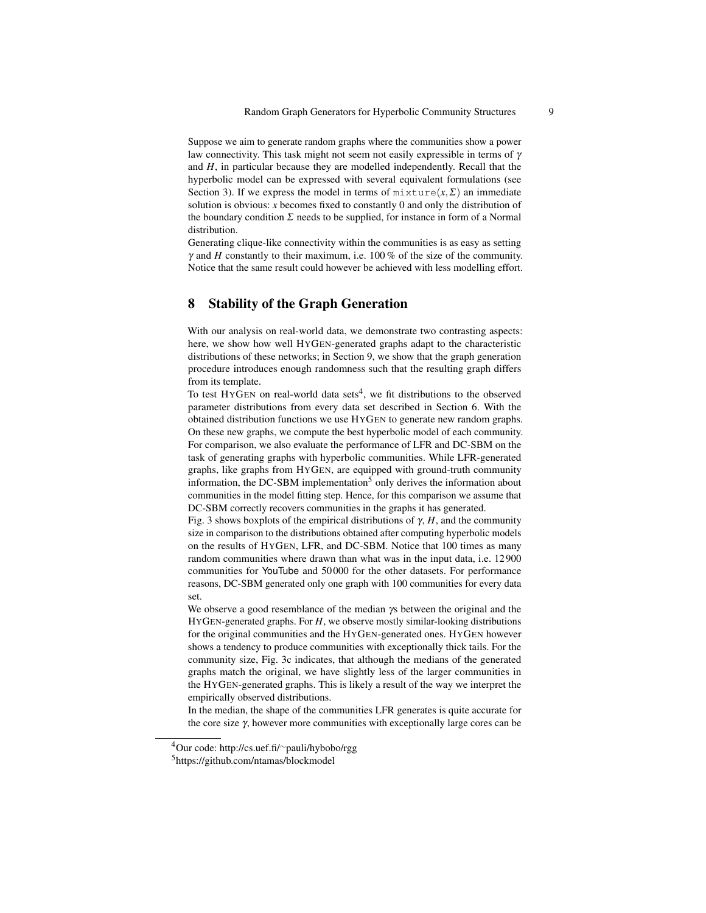Suppose we aim to generate random graphs where the communities show a power law connectivity. This task might not seem not easily expressible in terms of  $\gamma$ and *H*, in particular because they are modelled independently. Recall that the hyperbolic model can be expressed with several equivalent formulations (see Section 3). If we express the model in terms of mixture( $x, \Sigma$ ) an immediate solution is obvious: *x* becomes fixed to constantly 0 and only the distribution of the boundary condition  $\Sigma$  needs to be supplied, for instance in form of a Normal distribution.

Generating clique-like connectivity within the communities is as easy as setting γ and *H* constantly to their maximum, i.e. 100 % of the size of the community. Notice that the same result could however be achieved with less modelling effort.

# 8 Stability of the Graph Generation

With our analysis on real-world data, we demonstrate two contrasting aspects: here, we show how well HYGEN-generated graphs adapt to the characteristic distributions of these networks; in Section 9, we show that the graph generation procedure introduces enough randomness such that the resulting graph differs from its template.

To test HYGEN on real-world data sets<sup>4</sup>, we fit distributions to the observed parameter distributions from every data set described in Section 6. With the obtained distribution functions we use HYGEN to generate new random graphs. On these new graphs, we compute the best hyperbolic model of each community. For comparison, we also evaluate the performance of LFR and DC-SBM on the task of generating graphs with hyperbolic communities. While LFR-generated graphs, like graphs from HYGEN, are equipped with ground-truth community information, the DC-SBM implementation<sup>5</sup> only derives the information about communities in the model fitting step. Hence, for this comparison we assume that DC-SBM correctly recovers communities in the graphs it has generated.

Fig. 3 shows boxplots of the empirical distributions of γ, *H*, and the community size in comparison to the distributions obtained after computing hyperbolic models on the results of HYGEN, LFR, and DC-SBM. Notice that 100 times as many random communities where drawn than what was in the input data, i.e. 12 900 communities for YouTube and 50 000 for the other datasets. For performance reasons, DC-SBM generated only one graph with 100 communities for every data set.

We observe a good resemblance of the median γs between the original and the HYGEN-generated graphs. For *H*, we observe mostly similar-looking distributions for the original communities and the HYGEN-generated ones. HYGEN however shows a tendency to produce communities with exceptionally thick tails. For the community size, Fig. 3c indicates, that although the medians of the generated graphs match the original, we have slightly less of the larger communities in the HYGEN-generated graphs. This is likely a result of the way we interpret the empirically observed distributions.

In the median, the shape of the communities LFR generates is quite accurate for the core size  $\gamma$ , however more communities with exceptionally large cores can be

<sup>4</sup>Our code: http://cs.uef.fi/∼pauli/hybobo/rgg

<sup>5</sup>https://github.com/ntamas/blockmodel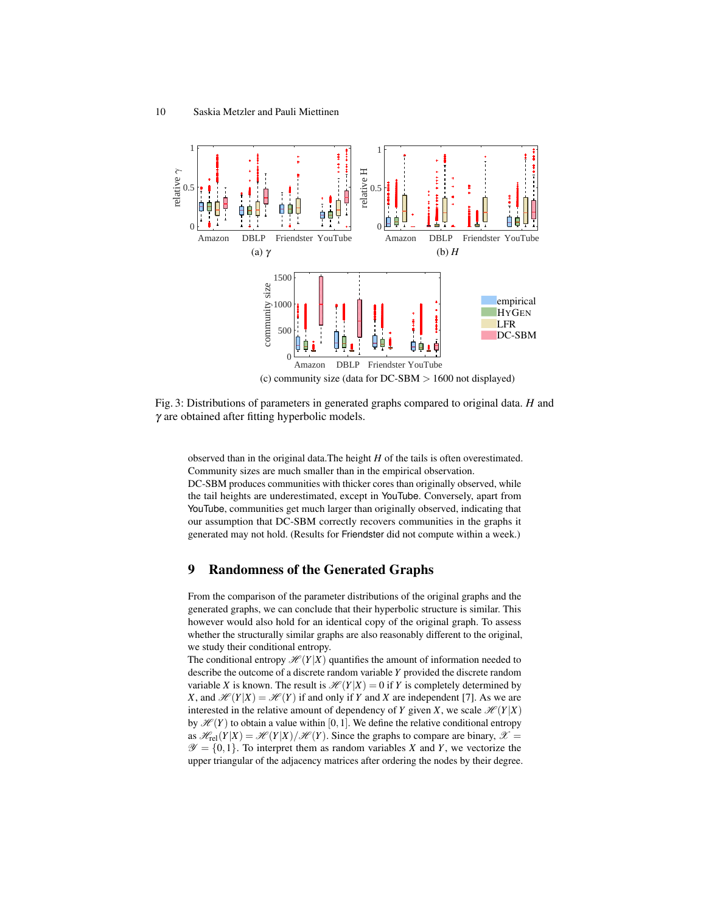

Fig. 3: Distributions of parameters in generated graphs compared to original data. *H* and γ are obtained after fitting hyperbolic models.

observed than in the original data.The height *H* of the tails is often overestimated. Community sizes are much smaller than in the empirical observation.

DC-SBM produces communities with thicker cores than originally observed, while the tail heights are underestimated, except in YouTube. Conversely, apart from YouTube, communities get much larger than originally observed, indicating that our assumption that DC-SBM correctly recovers communities in the graphs it generated may not hold. (Results for Friendster did not compute within a week.)

# 9 Randomness of the Generated Graphs

From the comparison of the parameter distributions of the original graphs and the generated graphs, we can conclude that their hyperbolic structure is similar. This however would also hold for an identical copy of the original graph. To assess whether the structurally similar graphs are also reasonably different to the original, we study their conditional entropy.

The conditional entropy  $\mathcal{H}(Y|X)$  quantifies the amount of information needed to describe the outcome of a discrete random variable *Y* provided the discrete random variable *X* is known. The result is  $\mathcal{H}(Y|X) = 0$  if *Y* is completely determined by *X*, and  $\mathcal{H}(Y|X) = \mathcal{H}(Y)$  if and only if *Y* and *X* are independent [7]. As we are interested in the relative amount of dependency of *Y* given *X*, we scale  $\mathcal{H}(Y|X)$ by  $\mathcal{H}(Y)$  to obtain a value within [0, 1]. We define the relative conditional entropy as  $\mathcal{H}_{rel}(Y|X) = \mathcal{H}(Y|X)/\mathcal{H}(Y)$ . Since the graphs to compare are binary,  $\mathcal{X} =$  $\mathscr{Y} = \{0,1\}$ . To interpret them as random variables *X* and *Y*, we vectorize the upper triangular of the adjacency matrices after ordering the nodes by their degree.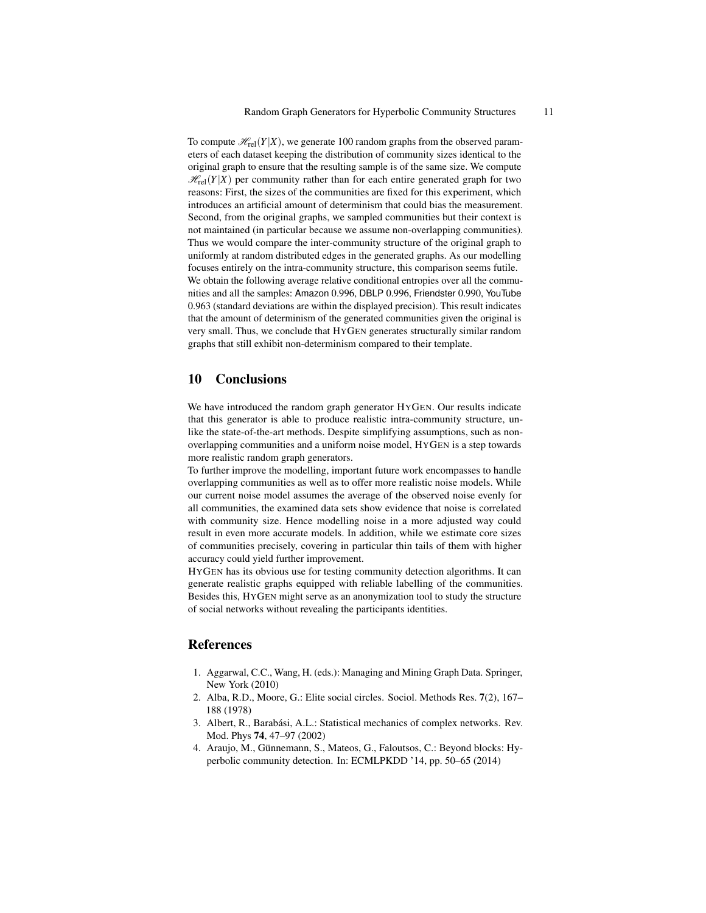To compute  $\mathcal{H}_{rel}(Y|X)$ , we generate 100 random graphs from the observed parameters of each dataset keeping the distribution of community sizes identical to the original graph to ensure that the resulting sample is of the same size. We compute  $\mathcal{H}_{rel}(Y|X)$  per community rather than for each entire generated graph for two reasons: First, the sizes of the communities are fixed for this experiment, which introduces an artificial amount of determinism that could bias the measurement. Second, from the original graphs, we sampled communities but their context is not maintained (in particular because we assume non-overlapping communities). Thus we would compare the inter-community structure of the original graph to uniformly at random distributed edges in the generated graphs. As our modelling focuses entirely on the intra-community structure, this comparison seems futile. We obtain the following average relative conditional entropies over all the communities and all the samples: Amazon 0.996, DBLP 0.996, Friendster 0.990, YouTube 0.963 (standard deviations are within the displayed precision). This result indicates that the amount of determinism of the generated communities given the original is very small. Thus, we conclude that HYGEN generates structurally similar random graphs that still exhibit non-determinism compared to their template.

## 10 Conclusions

We have introduced the random graph generator HYGEN. Our results indicate that this generator is able to produce realistic intra-community structure, unlike the state-of-the-art methods. Despite simplifying assumptions, such as nonoverlapping communities and a uniform noise model, HYGEN is a step towards more realistic random graph generators.

To further improve the modelling, important future work encompasses to handle overlapping communities as well as to offer more realistic noise models. While our current noise model assumes the average of the observed noise evenly for all communities, the examined data sets show evidence that noise is correlated with community size. Hence modelling noise in a more adjusted way could result in even more accurate models. In addition, while we estimate core sizes of communities precisely, covering in particular thin tails of them with higher accuracy could yield further improvement.

HYGEN has its obvious use for testing community detection algorithms. It can generate realistic graphs equipped with reliable labelling of the communities. Besides this, HYGEN might serve as an anonymization tool to study the structure of social networks without revealing the participants identities.

## References

- 1. Aggarwal, C.C., Wang, H. (eds.): Managing and Mining Graph Data. Springer, New York (2010)
- 2. Alba, R.D., Moore, G.: Elite social circles. Sociol. Methods Res. 7(2), 167– 188 (1978)
- 3. Albert, R., Barabási, A.L.: Statistical mechanics of complex networks. Rev. Mod. Phys 74, 47–97 (2002)
- 4. Araujo, M., Günnemann, S., Mateos, G., Faloutsos, C.: Beyond blocks: Hyperbolic community detection. In: ECMLPKDD '14, pp. 50–65 (2014)